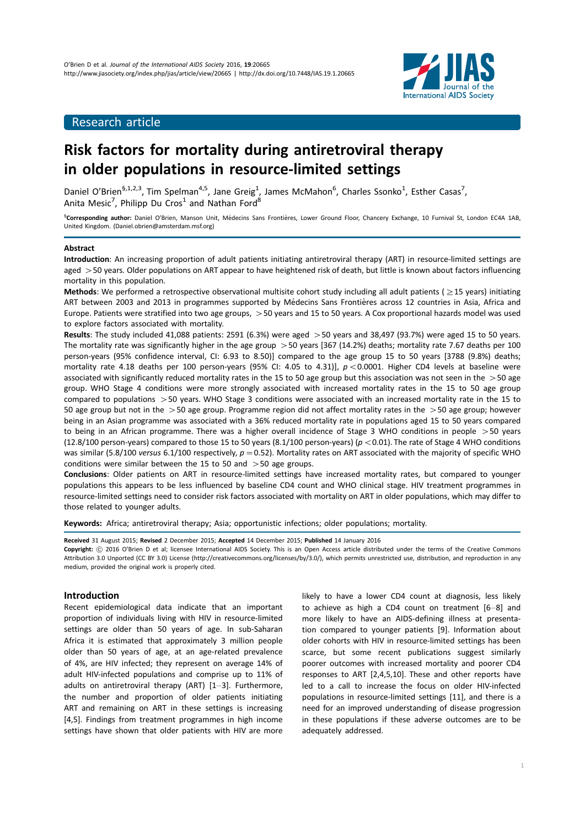

# [Research article](http://www.jiasociety.org/index.php/jias/article/view/20665)

# Risk factors for mortality during antiretroviral therapy in older populations in resource-limited settings

Daniel O'Brien<sup>§,1,2,3</sup>, Tim Spelman<sup>4,5</sup>, Jane Greig<sup>1</sup>, James McMahon<sup>6</sup>, Charles Ssonko<sup>1</sup>, Esther Casas<sup>7</sup>, Anita Mesic<sup>7</sup>, Philipp Du Cros<sup>1</sup> and Nathan Ford<sup>8</sup>

<sup>§</sup>Corresponding author: Daniel O'Brien, Manson Unit, Médecins Sans Frontières, Lower Ground Floor, Chancery Exchange, 10 Furnival St, London EC4A 1AB, United Kingdom. (Daniel.obrien@amsterdam.msf.org)

### Abstract

Introduction: An increasing proportion of adult patients initiating antiretroviral therapy (ART) in resource-limited settings are aged -50 years. Older populations on ART appear to have heightened risk of death, but little is known about factors influencing mortality in this population.

Methods: We performed a retrospective observational multisite cohort study including all adult patients ( $\geq$ 15 years) initiating ART between 2003 and 2013 in programmes supported by Médecins Sans Frontières across 12 countries in Asia, Africa and Europe. Patients were stratified into two age groups, > 50 years and 15 to 50 years. A Cox proportional hazards model was used to explore factors associated with mortality.

Results: The study included 41,088 patients: 2591 (6.3%) were aged > 50 years and 38,497 (93.7%) were aged 15 to 50 years. The mortality rate was significantly higher in the age group  $>$  50 years [367 (14.2%) deaths; mortality rate 7.67 deaths per 100 person-years (95% confidence interval, CI: 6.93 to 8.50)] compared to the age group 15 to 50 years [3788 (9.8%) deaths; mortality rate 4.18 deaths per 100 person-years (95% CI: 4.05 to 4.31)],  $p < 0.0001$ . Higher CD4 levels at baseline were associated with significantly reduced mortality rates in the 15 to 50 age group but this association was not seen in the  $>$  50 age group. WHO Stage 4 conditions were more strongly associated with increased mortality rates in the 15 to 50 age group compared to populations > 50 years. WHO Stage 3 conditions were associated with an increased mortality rate in the 15 to 50 age group but not in the > 50 age group. Programme region did not affect mortality rates in the > 50 age group; however being in an Asian programme was associated with a 36% reduced mortality rate in populations aged 15 to 50 years compared to being in an African programme. There was a higher overall incidence of Stage 3 WHO conditions in people >50 years (12.8/100 person-years) compared to those 15 to 50 years (8.1/100 person-years) ( $p < 0.01$ ). The rate of Stage 4 WHO conditions was similar (5.8/100 versus 6.1/100 respectively,  $p = 0.52$ ). Mortality rates on ART associated with the majority of specific WHO conditions were similar between the 15 to 50 and  $>$  50 age groups.

Conclusions: Older patients on ART in resource-limited settings have increased mortality rates, but compared to younger populations this appears to be less influenced by baseline CD4 count and WHO clinical stage. HIV treatment programmes in resource-limited settings need to consider risk factors associated with mortality on ART in older populations, which may differ to those related to younger adults.

Keywords: Africa; antiretroviral therapy; Asia; opportunistic infections; older populations; mortality.

Received 31 August 2015; Revised 2 December 2015; Accepted 14 December 2015; Published 14 January 2016

Copyright: © 2016 O'Brien D et al; licensee International AIDS Society. This is an Open Access article distributed under the terms of the Creative Commons Attribution 3.0 Unported (CC BY 3.0) License (http://creativecommons.org/licenses/by/3.0/), which permits unrestricted use, distribution, and reproduction in any medium, provided the original work is properly cited.

#### Introduction

Recent epidemiological data indicate that an important proportion of individuals living with HIV in resource-limited settings are older than 50 years of age. In sub-Saharan Africa it is estimated that approximately 3 million people older than 50 years of age, at an age-related prevalence of 4%, are HIV infected; they represent on average 14% of adult HIV-infected populations and comprise up to 11% of adults on antiretroviral therapy (ART)  $[1-3]$ . Furthermore, the number and proportion of older patients initiating ART and remaining on ART in these settings is increasing [4,5]. Findings from treatment programmes in high income settings have shown that older patients with HIV are more

likely to have a lower CD4 count at diagnosis, less likely to achieve as high a CD4 count on treatment  $[6-8]$  and more likely to have an AIDS-defining illness at presentation compared to younger patients [9]. Information about older cohorts with HIV in resource-limited settings has been scarce, but some recent publications suggest similarly poorer outcomes with increased mortality and poorer CD4 responses to ART [2,4,5,10]. These and other reports have led to a call to increase the focus on older HIV-infected populations in resource-limited settings [11], and there is a need for an improved understanding of disease progression in these populations if these adverse outcomes are to be adequately addressed.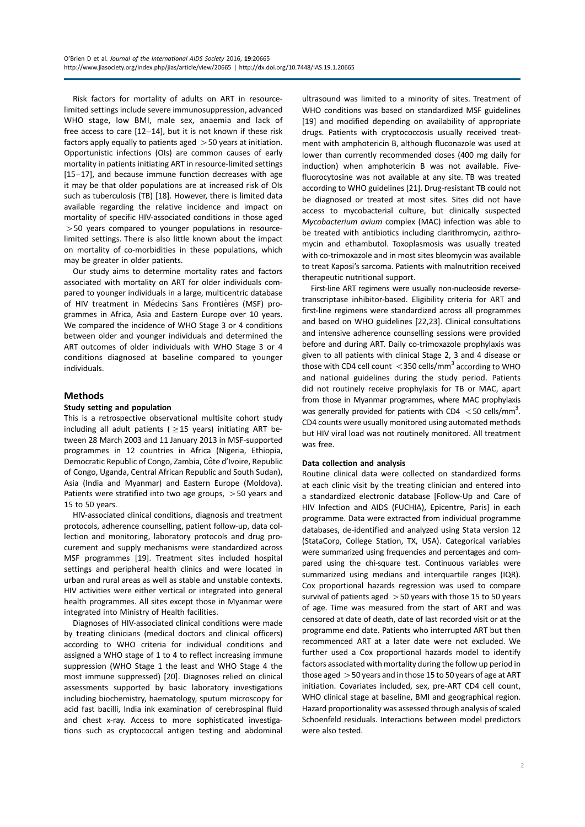Risk factors for mortality of adults on ART in resourcelimited settings include severe immunosuppression, advanced [WHO](http://www.jiasociety.org/index.php/jias/article/view/20665) [stage,](http://www.jiasociety.org/index.php/jias/article/view/20665) [low](http://www.jiasociety.org/index.php/jias/article/view/20665) [BMI,](http://www.jiasociety.org/index.php/jias/article/view/20665) [male](http://www.jiasociety.org/index.php/jias/article/view/20665) [sex,](http://www.jiasociety.org/index.php/jias/article/view/20665) [anaemia](http://www.jiasociety.org/index.php/jias/article/view/20665) [and](http://dx.doi.org/10.7448/IAS.19.1.20665) [lack](http://dx.doi.org/10.7448/IAS.19.1.20665) [of](http://dx.doi.org/10.7448/IAS.19.1.20665) free access to care  $[12-14]$ , but it is not known if these risk factors apply equally to patients aged  $>$  50 years at initiation. Opportunistic infections (OIs) are common causes of early mortality in patients initiating ART in resource-limited settings  $[15-17]$ , and because immune function decreases with age it may be that older populations are at increased risk of OIs such as tuberculosis (TB) [18]. However, there is limited data available regarding the relative incidence and impact on mortality of specific HIV-associated conditions in those aged -50 years compared to younger populations in resourcelimited settings. There is also little known about the impact on mortality of co-morbidities in these populations, which may be greater in older patients.

Our study aims to determine mortality rates and factors associated with mortality on ART for older individuals compared to younger individuals in a large, multicentric database of HIV treatment in Médecins Sans Frontières (MSF) programmes in Africa, Asia and Eastern Europe over 10 years. We compared the incidence of WHO Stage 3 or 4 conditions between older and younger individuals and determined the ART outcomes of older individuals with WHO Stage 3 or 4 conditions diagnosed at baseline compared to younger individuals.

# Methods

# Study setting and population

This is a retrospective observational multisite cohort study including all adult patients ( $\geq$ 15 years) initiating ART between 28 March 2003 and 11 January 2013 in MSF-supported programmes in 12 countries in Africa (Nigeria, Ethiopia, Democratic Republic of Congo, Zambia, Côte d'Ivoire, Republic of Congo, Uganda, Central African Republic and South Sudan), Asia (India and Myanmar) and Eastern Europe (Moldova). Patients were stratified into two age groups,  $>$  50 years and 15 to 50 years.

HIV-associated clinical conditions, diagnosis and treatment protocols, adherence counselling, patient follow-up, data collection and monitoring, laboratory protocols and drug procurement and supply mechanisms were standardized across MSF programmes [19]. Treatment sites included hospital settings and peripheral health clinics and were located in urban and rural areas as well as stable and unstable contexts. HIV activities were either vertical or integrated into general health programmes. All sites except those in Myanmar were integrated into Ministry of Health facilities.

Diagnoses of HIV-associated clinical conditions were made by treating clinicians (medical doctors and clinical officers) according to WHO criteria for individual conditions and assigned a WHO stage of 1 to 4 to reflect increasing immune suppression (WHO Stage 1 the least and WHO Stage 4 the most immune suppressed) [20]. Diagnoses relied on clinical assessments supported by basic laboratory investigations including biochemistry, haematology, sputum microscopy for acid fast bacilli, India ink examination of cerebrospinal fluid and chest x-ray. Access to more sophisticated investigations such as cryptococcal antigen testing and abdominal

ultrasound was limited to a minority of sites. Treatment of WHO conditions was based on standardized MSF guidelines [19] and modified depending on availability of appropriate drugs. Patients with cryptococcosis usually received treatment with amphotericin B, although fluconazole was used at lower than currently recommended doses (400 mg daily for induction) when amphotericin B was not available. Fivefluorocytosine was not available at any site. TB was treated according to WHO guidelines [21]. Drug-resistant TB could not be diagnosed or treated at most sites. Sites did not have access to mycobacterial culture, but clinically suspected Mycobacterium avium complex (MAC) infection was able to be treated with antibiotics including clarithromycin, azithromycin and ethambutol. Toxoplasmosis was usually treated with co-trimoxazole and in most sites bleomycin was available to treat Kaposi's sarcoma. Patients with malnutrition received therapeutic nutritional support.

First-line ART regimens were usually non-nucleoside reversetranscriptase inhibitor-based. Eligibility criteria for ART and first-line regimens were standardized across all programmes and based on WHO guidelines [22,23]. Clinical consultations and intensive adherence counselling sessions were provided before and during ART. Daily co-trimoxazole prophylaxis was given to all patients with clinical Stage 2, 3 and 4 disease or those with CD4 cell count  $<$  350 cells/mm<sup>3</sup> according to WHO and national guidelines during the study period. Patients did not routinely receive prophylaxis for TB or MAC, apart from those in Myanmar programmes, where MAC prophylaxis was generally provided for patients with CD4  $\,<$  50 cells/mm<sup>3</sup>. CD4 counts were usually monitored using automated methods but HIV viral load was not routinely monitored. All treatment was free.

# Data collection and analysis

Routine clinical data were collected on standardized forms at each clinic visit by the treating clinician and entered into a standardized electronic database [Follow-Up and Care of HIV Infection and AIDS (FUCHIA), Epicentre, Paris] in each programme. Data were extracted from individual programme databases, de-identified and analyzed using Stata version 12 (StataCorp, College Station, TX, USA). Categorical variables were summarized using frequencies and percentages and compared using the chi-square test. Continuous variables were summarized using medians and interquartile ranges (IQR). Cox proportional hazards regression was used to compare survival of patients aged  $>$  50 years with those 15 to 50 years of age. Time was measured from the start of ART and was censored at date of death, date of last recorded visit or at the programme end date. Patients who interrupted ART but then recommenced ART at a later date were not excluded. We further used a Cox proportional hazards model to identify factors associated with mortality during the follow up period in those aged  $\,>$  50 years and in those 15 to 50 years of age at ART initiation. Covariates included, sex, pre-ART CD4 cell count, WHO clinical stage at baseline, BMI and geographical region. Hazard proportionality was assessed through analysis of scaled Schoenfeld residuals. Interactions between model predictors were also tested.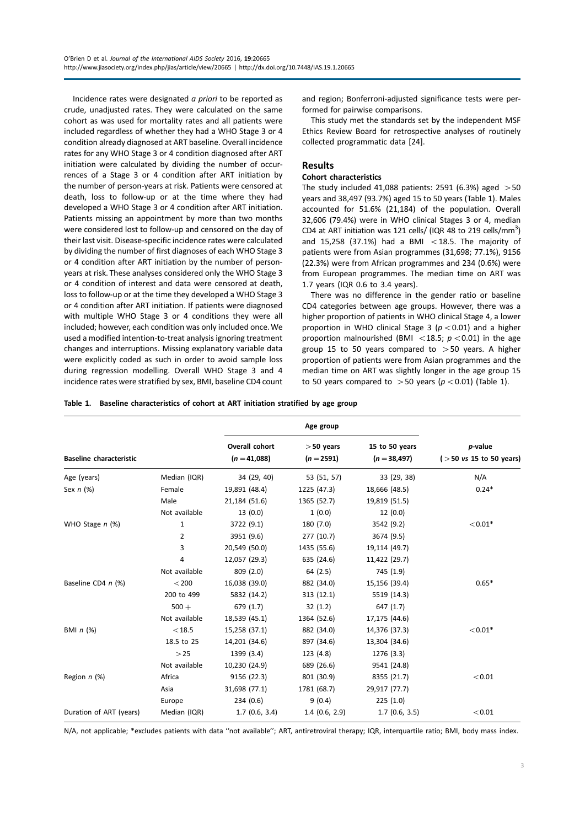Incidence rates were designated a priori to be reported as crude, unadjusted rates. They were calculated on the same [cohort](http://www.jiasociety.org/index.php/jias/article/view/20665) [as](http://www.jiasociety.org/index.php/jias/article/view/20665) [was](http://www.jiasociety.org/index.php/jias/article/view/20665) [used](http://www.jiasociety.org/index.php/jias/article/view/20665) [for](http://www.jiasociety.org/index.php/jias/article/view/20665) [mortality](http://www.jiasociety.org/index.php/jias/article/view/20665) [rates](http://www.jiasociety.org/index.php/jias/article/view/20665) [and](http://www.jiasociety.org/index.php/jias/article/view/20665) [all](http://www.jiasociety.org/index.php/jias/article/view/20665) patients were included regardless of whether they had a WHO Stage 3 or 4 condition already diagnosed at ART baseline. Overall incidence rates for any WHO Stage 3 or 4 condition diagnosed after ART initiation were calculated by dividing the number of occurrences of a Stage 3 or 4 condition after ART initiation by the number of person-years at risk. Patients were censored at death, loss to follow-up or at the time where they had developed a WHO Stage 3 or 4 condition after ART initiation. Patients missing an appointment by more than two months were considered lost to follow-up and censored on the day of their last visit. Disease-specific incidence rates were calculated by dividing the number of first diagnoses of each WHO Stage 3 or 4 condition after ART initiation by the number of personyears at risk. These analyses considered only the WHO Stage 3 or 4 condition of interest and data were censored at death, loss to follow-up or at the time they developed a WHO Stage 3 or 4 condition after ART initiation. If patients were diagnosed with multiple WHO Stage 3 or 4 conditions they were all included; however, each condition was only included once.We used a modified intention-to-treat analysis ignoring treatment changes and interruptions. Missing explanatory variable data were explicitly coded as such in order to avoid sample loss during regression modelling. Overall WHO Stage 3 and 4 incidence rates were stratified by sex, BMI, baseline CD4 count

and region; Bonferroni-adjusted significance tests were performed for pairwise comparisons.

[This](http://dx.doi.org/10.7448/IAS.19.1.20665) [study](http://dx.doi.org/10.7448/IAS.19.1.20665) [m](http://dx.doi.org/10.7448/IAS.19.1.20665)et the standards set by the independent MSF Ethics Review Board for retrospective analyses of routinely collected programmatic data [24].

# Results

# Cohort characteristics

The study included 41,088 patients: 2591 (6.3%) aged  $>$  50 years and 38,497 (93.7%) aged 15 to 50 years (Table 1). Males accounted for 51.6% (21,184) of the population. Overall 32,606 (79.4%) were in WHO clinical Stages 3 or 4, median CD4 at ART initiation was 121 cells/ (IQR 48 to 219 cells/mm<sup>3</sup>) and 15,258 (37.1%) had a BMI  $<$  18.5. The majority of patients were from Asian programmes (31,698; 77.1%), 9156 (22.3%) were from African programmes and 234 (0.6%) were from European programmes. The median time on ART was 1.7 years (IQR 0.6 to 3.4 years).

There was no difference in the gender ratio or baseline CD4 categories between age groups. However, there was a higher proportion of patients in WHO clinical Stage 4, a lower proportion in WHO clinical Stage 3 ( $p < 0.01$ ) and a higher proportion malnourished (BMI  $<$ 18.5;  $p$  < 0.01) in the age group 15 to 50 years compared to  $>$ 50 years. A higher proportion of patients were from Asian programmes and the median time on ART was slightly longer in the age group 15 to 50 years compared to  $\geq$  50 years ( $p$  < 0.01) (Table 1).

|  |  |  | Table 1. Baseline characteristics of cohort at ART initiation stratified by age group |  |
|--|--|--|---------------------------------------------------------------------------------------|--|
|--|--|--|---------------------------------------------------------------------------------------|--|

|                                |                |                                | Age group                   |                                |                                        |  |
|--------------------------------|----------------|--------------------------------|-----------------------------|--------------------------------|----------------------------------------|--|
| <b>Baseline characteristic</b> |                | Overall cohort<br>$(n=41,088)$ | $>50$ years<br>$(n = 2591)$ | 15 to 50 years<br>$(n=38,497)$ | p-value<br>$($ > 50 vs 15 to 50 years) |  |
| Age (years)                    | Median (IQR)   | 34 (29, 40)                    | 53 (51, 57)                 | 33 (29, 38)                    | N/A                                    |  |
| Sex $n$ (%)                    | Female         | 19,891 (48.4)                  | 1225 (47.3)                 | 18,666 (48.5)                  | $0.24*$                                |  |
|                                | Male           | 21,184 (51.6)                  | 1365 (52.7)                 | 19,819 (51.5)                  |                                        |  |
|                                | Not available  | 13(0.0)                        | 1(0.0)                      | 12(0.0)                        |                                        |  |
| WHO Stage $n$ (%)              | $\mathbf{1}$   | 3722 (9.1)                     | 180 (7.0)                   | 3542 (9.2)                     | $< 0.01*$                              |  |
|                                | 2              | 3951 (9.6)                     | 277 (10.7)                  | 3674 (9.5)                     |                                        |  |
|                                | 3              | 20,549 (50.0)                  | 1435 (55.6)                 | 19,114 (49.7)                  |                                        |  |
|                                | $\overline{4}$ | 12,057 (29.3)                  | 635 (24.6)                  | 11,422 (29.7)                  |                                        |  |
|                                | Not available  | 809 (2.0)                      | 64 (2.5)                    | 745 (1.9)                      |                                        |  |
| Baseline CD4 n (%)             | $<$ 200        | 16,038 (39.0)                  | 882 (34.0)                  | 15,156 (39.4)                  | $0.65*$                                |  |
|                                | 200 to 499     | 5832 (14.2)                    | 313 (12.1)                  | 5519 (14.3)                    |                                        |  |
|                                | $500 +$        | 679 (1.7)                      | 32(1.2)                     | 647 (1.7)                      |                                        |  |
|                                | Not available  | 18,539 (45.1)                  | 1364 (52.6)                 | 17,175 (44.6)                  |                                        |  |
| BMI $n$ (%)                    | < 18.5         | 15,258 (37.1)                  | 882 (34.0)                  | 14,376 (37.3)                  | $< 0.01*$                              |  |
|                                | 18.5 to 25     | 14,201 (34.6)                  | 897 (34.6)                  | 13,304 (34.6)                  |                                        |  |
|                                | >25            | 1399 (3.4)                     | 123 (4.8)                   | 1276 (3.3)                     |                                        |  |
|                                | Not available  | 10,230 (24.9)                  | 689 (26.6)                  | 9541 (24.8)                    |                                        |  |
| Region $n$ (%)                 | Africa         | 9156 (22.3)                    | 801 (30.9)                  | 8355 (21.7)                    | < 0.01                                 |  |
|                                | Asia           | 31,698 (77.1)                  | 1781 (68.7)                 | 29,917 (77.7)                  |                                        |  |
|                                | Europe         | 234(0.6)                       | 9(0.4)                      | 225(1.0)                       |                                        |  |
| Duration of ART (years)        | Median (IQR)   | 1.7(0.6, 3.4)                  | 1.4(0.6, 2.9)               | 1.7(0.6, 3.5)                  | < 0.01                                 |  |

N/A, not applicable; \*excludes patients with data ''not available''; ART, antiretroviral therapy; IQR, interquartile ratio; BMI, body mass index.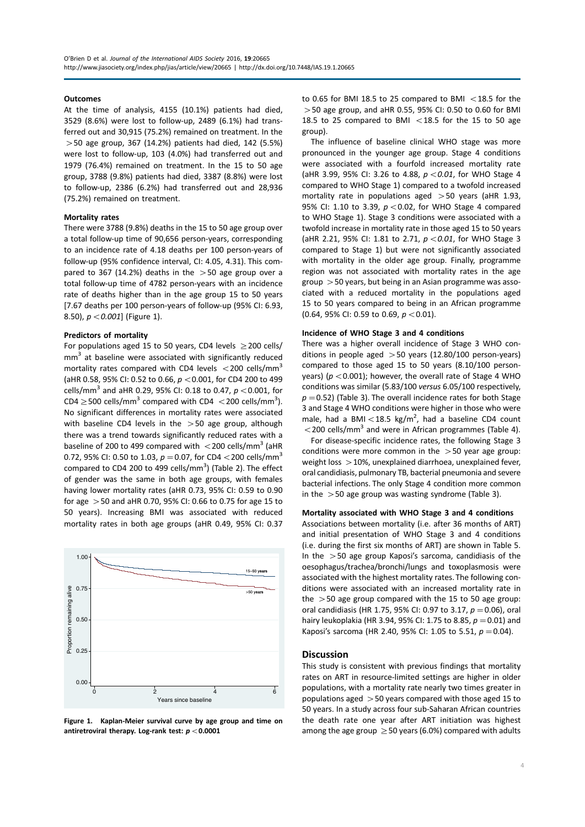## **Outcomes**

At the time of analysis, 4155 (10.1%) patients had died, [3529](http://www.jiasociety.org/index.php/jias/article/view/20665) [\(8.6%\)](http://www.jiasociety.org/index.php/jias/article/view/20665) [were](http://www.jiasociety.org/index.php/jias/article/view/20665) [lost](http://www.jiasociety.org/index.php/jias/article/view/20665) [to](http://www.jiasociety.org/index.php/jias/article/view/20665) [follow-up,](http://www.jiasociety.org/index.php/jias/article/view/20665) [2489](http://www.jiasociety.org/index.php/jias/article/view/20665) [\(6.1](http://www.jiasociety.org/index.php/jias/article/view/20665)%) had transferred out and 30,915 (75.2%) remained on treatment. In the -50 age group, 367 (14.2%) patients had died, 142 (5.5%) were lost to follow-up, 103 (4.0%) had transferred out and 1979 (76.4%) remained on treatment. In the 15 to 50 age group, 3788 (9.8%) patients had died, 3387 (8.8%) were lost to follow-up, 2386 (6.2%) had transferred out and 28,936 (75.2%) remained on treatment.

## Mortality rates

There were 3788 (9.8%) deaths in the 15 to 50 age group over a total follow-up time of 90,656 person-years, corresponding to an incidence rate of 4.18 deaths per 100 person-years of follow-up (95% confidence interval, CI: 4.05, 4.31). This compared to 367 (14.2%) deaths in the  $>$  50 age group over a total follow-up time of 4782 person-years with an incidence rate of deaths higher than in the age group 15 to 50 years [7.67 deaths per 100 person-years of follow-up (95% CI: 6.93, 8.50),  $p < 0.001$  (Figure 1).

#### Predictors of mortality

For populations aged 15 to 50 years, CD4 levels  $\geq$  200 cells/ mm<sup>3</sup> at baseline were associated with significantly reduced mortality rates compared with CD4 levels  $\langle$  200 cells/mm<sup>3</sup> (aHR 0.58, 95% CI: 0.52 to 0.66,  $p < 0.001$ , for CD4 200 to 499 cells/mm<sup>3</sup> and aHR 0.29, 95% CI: 0.18 to 0.47,  $p < 0.001$ , for CD4  $\geq$  500 cells/mm<sup>3</sup> compared with CD4  $\leq$  200 cells/mm<sup>3</sup>). No significant differences in mortality rates were associated with baseline CD4 levels in the  $>$ 50 age group, although there was a trend towards significantly reduced rates with a baseline of 200 to 499 compared with  $\leq$ 200 cells/mm<sup>3</sup> (aHR 0.72, 95% CI: 0.50 to 1.03,  $p =$  0.07, for CD4  $<$  200 cells/mm $^3$ compared to CD4 200 to 499 cells/mm<sup>3</sup>) (Table 2). The effect of gender was the same in both age groups, with females having lower mortality rates (aHR 0.73, 95% CI: 0.59 to 0.90 for age > 50 and aHR 0.70, 95% CI: 0.66 to 0.75 for age 15 to 50 years). Increasing BMI was associated with reduced mortality rates in both age groups (aHR 0.49, 95% CI: 0.37



Figure 1. Kaplan-Meier survival curve by age group and time on antiretroviral therapy. Log-rank test:  $p < 0.0001$ 

to 0.65 for BMI 18.5 to 25 compared to BMI  $<$  18.5 for the > 50 age group, and aHR 0.55, 95% CI: 0.50 to 0.60 for BMI [18.5](http://dx.doi.org/10.7448/IAS.19.1.20665) [to](http://dx.doi.org/10.7448/IAS.19.1.20665) [25](http://dx.doi.org/10.7448/IAS.19.1.20665) [com](http://dx.doi.org/10.7448/IAS.19.1.20665)pared to BMI  $<$  18.5 for the 15 to 50 age group).

The influence of baseline clinical WHO stage was more pronounced in the younger age group. Stage 4 conditions were associated with a fourfold increased mortality rate (aHR 3.99, 95% CI: 3.26 to 4.88,  $p < 0.01$ , for WHO Stage 4 compared to WHO Stage 1) compared to a twofold increased mortality rate in populations aged  $>$  50 years (aHR 1.93, 95% CI: 1.10 to 3.39,  $p < 0.02$ , for WHO Stage 4 compared to WHO Stage 1). Stage 3 conditions were associated with a twofold increase in mortality rate in those aged 15 to 50 years (aHR 2.21, 95% CI: 1.81 to 2.71,  $p < 0.01$ , for WHO Stage 3 compared to Stage 1) but were not significantly associated with mortality in the older age group. Finally, programme region was not associated with mortality rates in the age group -50 years, but being in an Asian programme was associated with a reduced mortality in the populations aged 15 to 50 years compared to being in an African programme (0.64, 95% CI: 0.59 to 0.69,  $p < 0.01$ ).

#### Incidence of WHO Stage 3 and 4 conditions

There was a higher overall incidence of Stage 3 WHO conditions in people aged  $>$  50 years (12.80/100 person-years) compared to those aged 15 to 50 years (8.10/100 personyears) ( $p < 0.001$ ); however, the overall rate of Stage 4 WHO conditions was similar (5.83/100 versus 6.05/100 respectively,  $p = 0.52$ ) (Table 3). The overall incidence rates for both Stage 3 and Stage 4 WHO conditions were higher in those who were male, had a BMI  $<$  18.5 kg/m<sup>2</sup>, had a baseline CD4 count  $\alpha$ 200 cells/mm<sup>3</sup> and were in African programmes (Table 4).

For disease-specific incidence rates, the following Stage 3 conditions were more common in the  $>$  50 year age group: weight loss  $>$  10%, unexplained diarrhoea, unexplained fever, oral candidiasis, pulmonary TB, bacterial pneumonia and severe bacterial infections. The only Stage 4 condition more common in the  $>$  50 age group was wasting syndrome (Table 3).

# Mortality associated with WHO Stage 3 and 4 conditions

Associations between mortality (i.e. after 36 months of ART) and initial presentation of WHO Stage 3 and 4 conditions (i.e. during the first six months of ART) are shown in Table 5. In the -50 age group Kaposi's sarcoma, candidiasis of the oesophagus/trachea/bronchi/lungs and toxoplasmosis were associated with the highest mortality rates. The following conditions were associated with an increased mortality rate in the  $>$  50 age group compared with the 15 to 50 age group: oral candidiasis (HR 1.75, 95% CI: 0.97 to 3.17,  $p =$  0.06), oral hairy leukoplakia (HR 3.94, 95% CI: 1.75 to 8.85,  $p = 0.01$ ) and Kaposi's sarcoma (HR 2.40, 95% CI: 1.05 to 5.51,  $p = 0.04$ ).

#### **Discussion**

This study is consistent with previous findings that mortality rates on ART in resource-limited settings are higher in older populations, with a mortality rate nearly two times greater in populations aged  $>$  50 years compared with those aged 15 to 50 years. In a study across four sub-Saharan African countries the death rate one year after ART initiation was highest among the age group  $\geq$  50 years (6.0%) compared with adults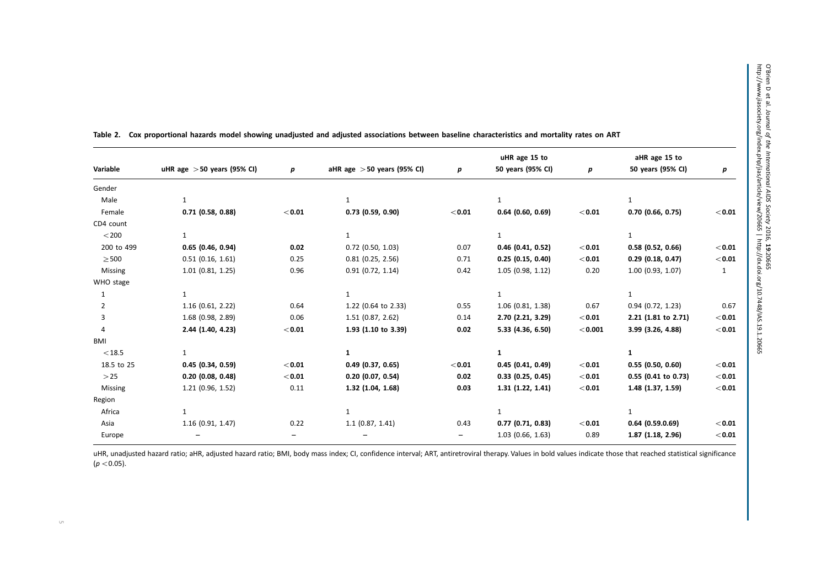|                |                               |          |                               |          | uHR age 15 to         |          | aHR age 15 to       |              |
|----------------|-------------------------------|----------|-------------------------------|----------|-----------------------|----------|---------------------|--------------|
| Variable       | uHR age $>$ 50 years (95% CI) | р        | aHR age $>$ 50 years (95% CI) | р        | 50 years (95% CI)     | р        | 50 years (95% CI)   | р            |
| Gender         |                               |          |                               |          |                       |          |                     |              |
| Male           | $\mathbf{1}$                  |          | 1                             |          | 1                     |          |                     |              |
| Female         | $0.71$ (0.58, 0.88)           | $<$ 0.01 | $0.73$ (0.59, 0.90)           | $<$ 0.01 | $0.64$ (0.60, 0.69)   | $<$ 0.01 | $0.70$ (0.66, 0.75) | $<$ 0.01     |
| CD4 count      |                               |          |                               |          |                       |          |                     |              |
| $<$ 200        | $\mathbf{1}$                  |          | $\mathbf{1}$                  |          | $\mathbf{1}$          |          | 1                   |              |
| 200 to 499     | $0.65$ (0.46, 0.94)           | 0.02     | $0.72$ (0.50, 1.03)           | 0.07     | $0.46$ (0.41, 0.52)   | < 0.01   | $0.58$ (0.52, 0.66) | $<$ 0.01     |
| $\geq$ 500     | $0.51$ (0.16, 1.61)           | 0.25     | $0.81$ (0.25, 2.56)           | 0.71     | 0.25(0.15, 0.40)      | $<$ 0.01 | $0.29$ (0.18, 0.47) | < 0.01       |
| Missing        | $1.01$ (0.81, 1.25)           | 0.96     | $0.91$ $(0.72, 1.14)$         | 0.42     | 1.05(0.98, 1.12)      | 0.20     | 1.00 (0.93, 1.07)   | $\mathbf{1}$ |
| WHO stage      |                               |          |                               |          |                       |          |                     |              |
| $\mathbf{1}$   | $\mathbf{1}$                  |          | $\mathbf{1}$                  |          | $\mathbf{1}$          |          | 1                   |              |
| $\overline{2}$ | 1.16 (0.61, 2.22)             | 0.64     | 1.22 (0.64 to 2.33)           | 0.55     | 1.06 (0.81, 1.38)     | 0.67     | 0.94 (0.72, 1.23)   | 0.67         |
| 3              | 1.68 (0.98, 2.89)             | 0.06     | $1.51$ (0.87, 2.62)           | 0.14     | 2.70 (2.21, 3.29)     | < 0.01   | 2.21 (1.81 to 2.71) | $<$ 0.01     |
| Δ              | 2.44 (1.40, 4.23)             | $<$ 0.01 | 1.93 (1.10 to 3.39)           | 0.02     | 5.33 (4.36, 6.50)     | < 0.001  | 3.99 (3.26, 4.88)   | $<$ 0.01     |
| <b>BMI</b>     |                               |          |                               |          |                       |          |                     |              |
| < 18.5         | $\mathbf{1}$                  |          | $\mathbf{1}$                  |          | 1                     |          | 1                   |              |
| 18.5 to 25     | 0.45(0.34, 0.59)              | $<$ 0.01 | $0.49$ (0.37, 0.65)           | < 0.01   | 0.45(0.41, 0.49)      | < 0.01   | 0.55(0.50, 0.60)    | $<$ 0.01     |
| >25            | $0.20$ (0.08, 0.48)           | $<$ 0.01 | $0.20$ (0.07, 0.54)           | 0.02     | $0.33$ (0.25, 0.45)   | < 0.01   | 0.55 (0.41 to 0.73) | $<$ 0.01     |
| Missing        | 1.21 (0.96, 1.52)             | 0.11     | 1.32 (1.04, 1.68)             | 0.03     | 1.31(1.22, 1.41)      | < 0.01   | 1.48 (1.37, 1.59)   | $<$ 0.01     |
| Region         |                               |          |                               |          |                       |          |                     |              |
| Africa         | $\mathbf{1}$                  |          | $\mathbf{1}$                  |          | $\mathbf{1}$          |          |                     |              |
| Asia           | 1.16(0.91, 1.47)              | 0.22     | $1.1$ (0.87, 1.41)            | 0.43     | $0.77$ $(0.71, 0.83)$ | < 0.01   | 0.64(0.59.0.69)     | $<$ 0.01     |
| Europe         |                               |          |                               |          | $1.03$ (0.66, 1.63)   | 0.89     | 1.87 (1.18, 2.96)   | $<$ 0.01     |

| Table 2. Cox proportional hazards model showing unadjusted and adjusted associations between baseline characteristics and mortality rates on ART |
|--------------------------------------------------------------------------------------------------------------------------------------------------|
|--------------------------------------------------------------------------------------------------------------------------------------------------|

uHR, unadjusted hazard ratio; aHR, adjusted hazard ratio; BMI, body mass index; CI, confidence interval; ART, antiretroviral therapy. Values in bold values indicate those that reached statistical significance  $(p < 0.05)$ .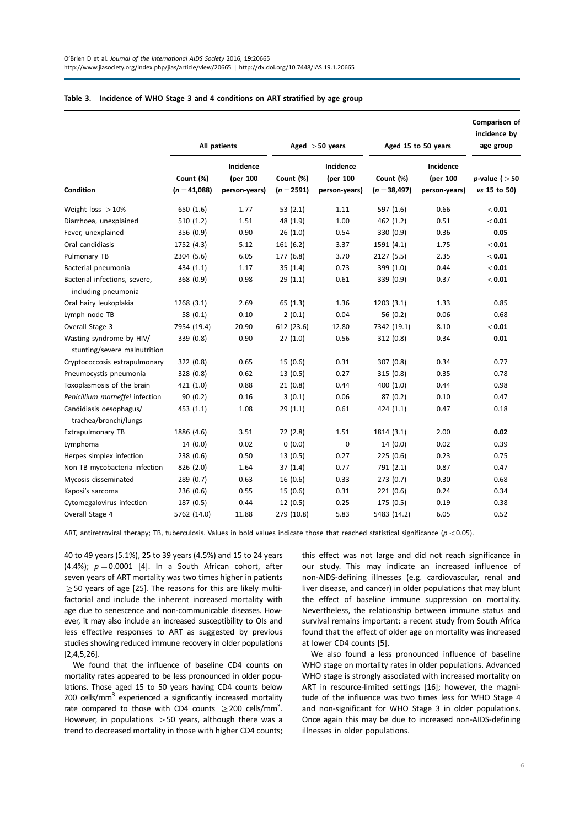#### Table 3. Incidence of WHO Stage 3 and 4 conditions on ART stratified by age group

|                                                          | All patients                |                                        | Aged $>50$ years          |                                        | Aged 15 to 50 years       |                                        | Comparison of<br>incidence by<br>age group |  |
|----------------------------------------------------------|-----------------------------|----------------------------------------|---------------------------|----------------------------------------|---------------------------|----------------------------------------|--------------------------------------------|--|
| <b>Condition</b>                                         | Count (%)<br>$(n = 41,088)$ | Incidence<br>(per 100<br>person-years) | Count (%)<br>$(n = 2591)$ | Incidence<br>(per 100<br>person-years) | Count (%)<br>$(n=38,497)$ | Incidence<br>(per 100<br>person-years) | p-value ( $>$ 50<br>vs 15 to 50)           |  |
| Weight loss $>10\%$                                      | 650 (1.6)                   | 1.77                                   | 53 $(2.1)$                | 1.11                                   | 597 (1.6)                 | 0.66                                   | $<$ 0.01                                   |  |
| Diarrhoea, unexplained                                   | 510(1.2)                    | 1.51                                   | 48 (1.9)                  | 1.00                                   | 462 (1.2)                 | 0.51                                   | < 0.01                                     |  |
| Fever, unexplained                                       | 356 (0.9)                   | 0.90                                   | 26 (1.0)                  | 0.54                                   | 330 (0.9)                 | 0.36                                   | 0.05                                       |  |
| Oral candidiasis                                         | 1752 (4.3)                  | 5.12                                   | 161(6.2)                  | 3.37                                   | 1591 (4.1)                | 1.75                                   | < 0.01                                     |  |
| Pulmonary TB                                             | 2304 (5.6)                  | 6.05                                   | 177 (6.8)                 | 3.70                                   | 2127 (5.5)                | 2.35                                   | < 0.01                                     |  |
| Bacterial pneumonia                                      | 434 (1.1)                   | 1.17                                   | 35(1.4)                   | 0.73                                   | 399 (1.0)                 | 0.44                                   | $<$ 0.01                                   |  |
| Bacterial infections, severe,<br>including pneumonia     | 368 (0.9)                   | 0.98                                   | 29(1.1)                   | 0.61                                   | 339 (0.9)                 | 0.37                                   | < 0.01                                     |  |
| Oral hairy leukoplakia                                   | 1268(3.1)                   | 2.69                                   | 65(1.3)                   | 1.36                                   | 1203(3.1)                 | 1.33                                   | 0.85                                       |  |
| Lymph node TB                                            | 58 (0.1)                    | 0.10                                   | 2(0.1)                    | 0.04                                   | 56 (0.2)                  | 0.06                                   | 0.68                                       |  |
| Overall Stage 3                                          | 7954 (19.4)                 | 20.90                                  | 612 (23.6)                | 12.80                                  | 7342 (19.1)               | 8.10                                   | < 0.01                                     |  |
| Wasting syndrome by HIV/<br>stunting/severe malnutrition | 339 (0.8)                   | 0.90                                   | 27(1.0)                   | 0.56                                   | 312 (0.8)                 | 0.34                                   | 0.01                                       |  |
| Cryptococcosis extrapulmonary                            | 322 (0.8)                   | 0.65                                   | 15 (0.6)                  | 0.31                                   | 307 (0.8)                 | 0.34                                   | 0.77                                       |  |
| Pneumocystis pneumonia                                   | 328 (0.8)                   | 0.62                                   | 13(0.5)                   | 0.27                                   | 315(0.8)                  | 0.35                                   | 0.78                                       |  |
| Toxoplasmosis of the brain                               | 421 (1.0)                   | 0.88                                   | 21(0.8)                   | 0.44                                   | 400 (1.0)                 | 0.44                                   | 0.98                                       |  |
| Penicillium marneffei infection                          | 90(0.2)                     | 0.16                                   | 3(0.1)                    | 0.06                                   | 87(0.2)                   | 0.10                                   | 0.47                                       |  |
| Candidiasis oesophagus/<br>trachea/bronchi/lungs         | 453 (1.1)                   | 1.08                                   | 29(1.1)                   | 0.61                                   | 424(1.1)                  | 0.47                                   | 0.18                                       |  |
| Extrapulmonary TB                                        | 1886 (4.6)                  | 3.51                                   | 72 (2.8)                  | 1.51                                   | 1814 (3.1)                | 2.00                                   | 0.02                                       |  |
| Lymphoma                                                 | 14 (0.0)                    | 0.02                                   | 0(0.0)                    | 0                                      | 14 (0.0)                  | 0.02                                   | 0.39                                       |  |
| Herpes simplex infection                                 | 238 (0.6)                   | 0.50                                   | 13(0.5)                   | 0.27                                   | 225(0.6)                  | 0.23                                   | 0.75                                       |  |
| Non-TB mycobacteria infection                            | 826 (2.0)                   | 1.64                                   | 37(1.4)                   | 0.77                                   | 791 (2.1)                 | 0.87                                   | 0.47                                       |  |
| Mycosis disseminated                                     | 289 (0.7)                   | 0.63                                   | 16(0.6)                   | 0.33                                   | 273(0.7)                  | 0.30                                   | 0.68                                       |  |
| Kaposi's sarcoma                                         | 236 (0.6)                   | 0.55                                   | 15(0.6)                   | 0.31                                   | 221(0.6)                  | 0.24                                   | 0.34                                       |  |
| Cytomegalovirus infection                                | 187 (0.5)                   | 0.44                                   | 12(0.5)                   | 0.25                                   | 175 (0.5)                 | 0.19                                   | 0.38                                       |  |
| Overall Stage 4                                          | 5762 (14.0)                 | 11.88                                  | 279 (10.8)                | 5.83                                   | 5483 (14.2)               | 6.05                                   | 0.52                                       |  |

ART, antiretroviral therapy; TB, tuberculosis. Values in bold values indicate those that reached statistical significance ( $p < 0.05$ ).

40 to 49 years (5.1%), 25 to 39 years (4.5%) and 15 to 24 years  $(4.4%)$ ;  $p = 0.0001$  [4]. In a South African cohort, after seven years of ART mortality was two times higher in patients  $\geq$  50 years of age [25]. The reasons for this are likely multifactorial and include the inherent increased mortality with age due to senescence and non-communicable diseases. However, it may also include an increased susceptibility to OIs and less effective responses to ART as suggested by previous studies showing reduced immune recovery in older populations [2,4,5,26].

We found that the influence of baseline CD4 counts on mortality rates appeared to be less pronounced in older populations. Those aged 15 to 50 years having CD4 counts below 200 cells/ $mm<sup>3</sup>$  experienced a significantly increased mortality rate compared to those with CD4 counts  $\geq 200$  cells/mm<sup>3</sup>. However, in populations  $>50$  years, although there was a trend to decreased mortality in those with higher CD4 counts;

this effect was not large and did not reach significance in our study. This may indicate an increased influence of non-AIDS-defining illnesses (e.g. cardiovascular, renal and liver disease, and cancer) in older populations that may blunt the effect of baseline immune suppression on mortality. Nevertheless, the relationship between immune status and survival remains important: a recent study from South Africa found that the effect of older age on mortality was increased at lower CD4 counts [5].

We also found a less pronounced influence of baseline WHO stage on mortality rates in older populations. Advanced WHO stage is strongly associated with increased mortality on ART in resource-limited settings [16]; however, the magnitude of the influence was two times less for WHO Stage 4 and non-significant for WHO Stage 3 in older populations. Once again this may be due to increased non-AIDS-defining illnesses in older populations.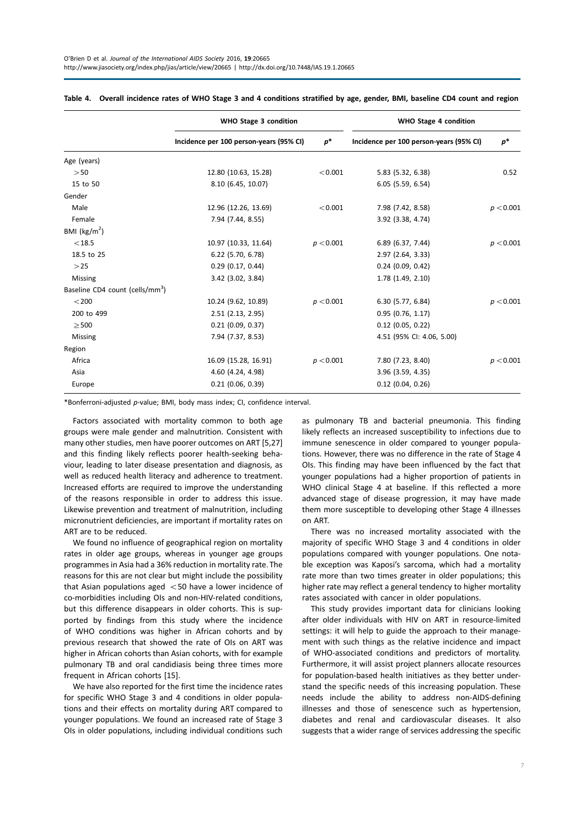|                                             | <b>WHO Stage 3 condition</b>            | <b>WHO Stage 4 condition</b> |                                         |           |
|---------------------------------------------|-----------------------------------------|------------------------------|-----------------------------------------|-----------|
|                                             | Incidence per 100 person-years (95% CI) | $p^*$                        | Incidence per 100 person-years (95% CI) | $p^*$     |
| Age (years)                                 |                                         |                              |                                         |           |
| >50                                         | 12.80 (10.63, 15.28)                    | < 0.001                      | 5.83 (5.32, 6.38)                       | 0.52      |
| 15 to 50                                    | 8.10 (6.45, 10.07)                      |                              | 6.05 (5.59, 6.54)                       |           |
| Gender                                      |                                         |                              |                                         |           |
| Male                                        | 12.96 (12.26, 13.69)                    | < 0.001                      | 7.98 (7.42, 8.58)                       | p < 0.001 |
| Female                                      | 7.94 (7.44, 8.55)                       |                              | 3.92 (3.38, 4.74)                       |           |
| BMI ( $\text{kg/m}^2$ )                     |                                         |                              |                                         |           |
| < 18.5                                      | 10.97 (10.33, 11.64)                    | p < 0.001                    | 6.89 (6.37, 7.44)                       | p < 0.001 |
| 18.5 to 25                                  | 6.22 (5.70, 6.78)                       |                              | 2.97 (2.64, 3.33)                       |           |
| >25                                         | $0.29$ (0.17, 0.44)                     |                              | $0.24$ (0.09, 0.42)                     |           |
| Missing                                     | 3.42 (3.02, 3.84)                       |                              | 1.78 (1.49, 2.10)                       |           |
| Baseline CD4 count (cells/mm <sup>3</sup> ) |                                         |                              |                                         |           |
| $<$ 200                                     | 10.24 (9.62, 10.89)                     | p < 0.001                    | 6.30 (5.77, 6.84)                       | p < 0.001 |
| 200 to 499                                  | 2.51 (2.13, 2.95)                       |                              | 0.95(0.76, 1.17)                        |           |
| > 500                                       | $0.21$ (0.09, 0.37)                     |                              | $0.12$ (0.05, 0.22)                     |           |
| <b>Missing</b>                              | 7.94 (7.37, 8.53)                       |                              | 4.51 (95% CI: 4.06, 5.00)               |           |
| Region                                      |                                         |                              |                                         |           |
| Africa                                      | 16.09 (15.28, 16.91)                    | p < 0.001                    | 7.80 (7.23, 8.40)                       | p < 0.001 |
| Asia                                        | 4.60 (4.24, 4.98)                       |                              | 3.96 (3.59, 4.35)                       |           |
| Europe                                      | $0.21$ (0.06, 0.39)                     |                              | $0.12$ (0.04, 0.26)                     |           |

Table 4. Overall incidence rates of WHO Stage 3 and 4 conditions stratified by age, gender, BMI, baseline CD4 count and region

\*Bonferroni-adjusted p-value; BMI, body mass index; CI, confidence interval.

Factors associated with mortality common to both age groups were male gender and malnutrition. Consistent with many other studies, men have poorer outcomes on ART [5,27] and this finding likely reflects poorer health-seeking behaviour, leading to later disease presentation and diagnosis, as well as reduced health literacy and adherence to treatment. Increased efforts are required to improve the understanding of the reasons responsible in order to address this issue. Likewise prevention and treatment of malnutrition, including micronutrient deficiencies, are important if mortality rates on ART are to be reduced.

We found no influence of geographical region on mortality rates in older age groups, whereas in younger age groups programmes in Asia had a 36% reduction in mortality rate. The reasons for this are not clear but might include the possibility that Asian populations aged  $<$  50 have a lower incidence of co-morbidities including OIs and non-HIV-related conditions, but this difference disappears in older cohorts. This is supported by findings from this study where the incidence of WHO conditions was higher in African cohorts and by previous research that showed the rate of OIs on ART was higher in African cohorts than Asian cohorts, with for example pulmonary TB and oral candidiasis being three times more frequent in African cohorts [15].

We have also reported for the first time the incidence rates for specific WHO Stage 3 and 4 conditions in older populations and their effects on mortality during ART compared to younger populations. We found an increased rate of Stage 3 OIs in older populations, including individual conditions such

as pulmonary TB and bacterial pneumonia. This finding likely reflects an increased susceptibility to infections due to immune senescence in older compared to younger populations. However, there was no difference in the rate of Stage 4 OIs. This finding may have been influenced by the fact that younger populations had a higher proportion of patients in WHO clinical Stage 4 at baseline. If this reflected a more advanced stage of disease progression, it may have made them more susceptible to developing other Stage 4 illnesses on ART.

There was no increased mortality associated with the majority of specific WHO Stage 3 and 4 conditions in older populations compared with younger populations. One notable exception was Kaposi's sarcoma, which had a mortality rate more than two times greater in older populations; this higher rate may reflect a general tendency to higher mortality rates associated with cancer in older populations.

This study provides important data for clinicians looking after older individuals with HIV on ART in resource-limited settings: it will help to guide the approach to their management with such things as the relative incidence and impact of WHO-associated conditions and predictors of mortality. Furthermore, it will assist project planners allocate resources for population-based health initiatives as they better understand the specific needs of this increasing population. These needs include the ability to address non-AIDS-defining illnesses and those of senescence such as hypertension, diabetes and renal and cardiovascular diseases. It also suggests that a wider range of services addressing the specific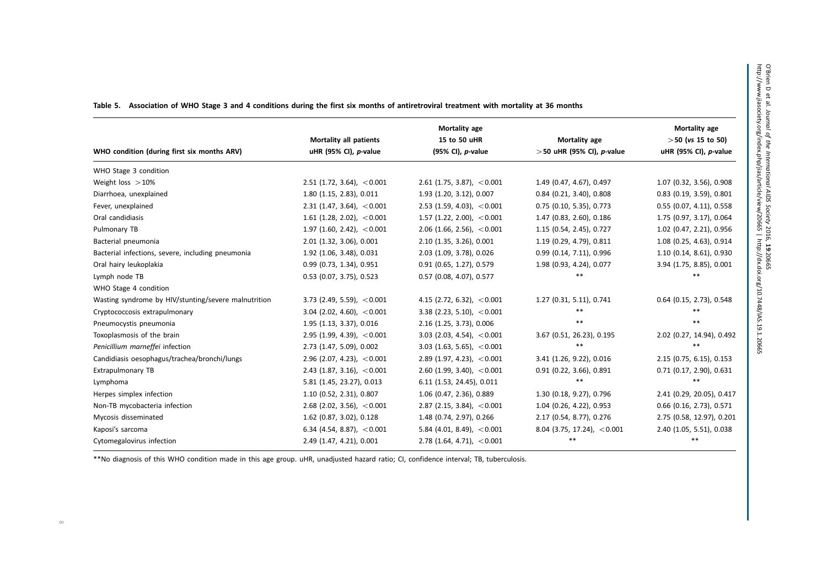|                                                      |                                                 | Mortality age                             |                                               | Mortality age                                |  |
|------------------------------------------------------|-------------------------------------------------|-------------------------------------------|-----------------------------------------------|----------------------------------------------|--|
| WHO condition (during first six months ARV)          | Mortality all patients<br>uHR (95% CI), p-value | 15 to 50 uHR<br>(95% CI), <i>p</i> -value | Mortality age<br>$>$ 50 uHR (95% CI), p-value | $>50$ (vs 15 to 50)<br>uHR (95% CI), p-value |  |
| WHO Stage 3 condition                                |                                                 |                                           |                                               |                                              |  |
| Weight loss $>10\%$                                  | $2.51$ (1.72, 3.64), <0.001                     | $2.61$ (1.75, 3.87), <0.001               | 1.49 (0.47, 4.67), 0.497                      | 1.07 (0.32, 3.56), 0.908                     |  |
| Diarrhoea, unexplained                               | 1.80 (1.15, 2.83), 0.011                        | 1.93 (1.20, 3.12), 0.007                  | $0.84$ (0.21, 3.40), 0.808                    | $0.83$ (0.19, 3.59), 0.801                   |  |
| Fever, unexplained                                   | $2.31$ (1.47, 3.64), <0.001                     | $2.53$ (1.59, 4.03), <0.001               | $0.75$ (0.10, 5.35), 0.773                    | $0.55$ (0.07, 4.11), 0.558                   |  |
| Oral candidiasis                                     | 1.61 (1.28, 2.02), $< 0.001$                    | 1.57 (1.22, 2.00), $< 0.001$              | 1.47 (0.83, 2.60), 0.186                      | 1.75 (0.97, 3.17), 0.064                     |  |
| Pulmonary TB                                         | 1.97 (1.60, 2.42), $< 0.001$                    | 2.06 (1.66, 2.56), $< 0.001$              | 1.15 (0.54, 2.45), 0.727                      | 1.02 (0.47, 2.21), 0.956                     |  |
| Bacterial pneumonia                                  | 2.01 (1.32, 3.06), 0.001                        | 2.10 (1.35, 3.26), 0.001                  | 1.19 (0.29, 4.79), 0.811                      | 1.08 (0.25, 4.63), 0.914                     |  |
| Bacterial infections, severe, including pneumonia    | 1.92 (1.06, 3.48), 0.031                        | 2.03 (1.09, 3.78), 0.026                  | $0.99$ (0.14, 7.11), 0.996                    | $1.10$ (0.14, 8.61), 0.930                   |  |
| Oral hairy leukoplakia                               | 0.99 (0.73, 1.34), 0.951                        | 0.91 (0.65, 1.27), 0.579                  | 1.98 (0.93, 4.24), 0.077                      | 3.94 (1.75, 8.85), 0.001                     |  |
| Lymph node TB                                        | $0.53$ (0.07, 3.75), 0.523                      | 0.57 (0.08, 4.07), 0.577                  |                                               | $***$                                        |  |
| WHO Stage 4 condition                                |                                                 |                                           |                                               |                                              |  |
| Wasting syndrome by HIV/stunting/severe malnutrition | 3.73 (2.49, 5.59), $< 0.001$                    | 4.15 (2.72, 6.32), $< 0.001$              | 1.27 (0.31, 5.11), 0.741                      | 0.64 (0.15, 2.73), 0.548                     |  |
| Cryptococcosis extrapulmonary                        | 3.04 (2.02, 4.60), $< 0.001$                    | 3.38 (2.23, 5.10), $< 0.001$              | **                                            | $***$                                        |  |
| Pneumocystis pneumonia                               | 1.95 (1.13, 3.37), 0.016                        | 2.16 (1.25, 3.73), 0.006                  | $***$                                         | $***$                                        |  |
| Toxoplasmosis of the brain                           | 2.95 (1.99, 4.39), $< 0.001$                    | 3.03 (2.03, 4.54), $< 0.001$              | 3.67 (0.51, 26.23), 0.195                     | 2.02 (0.27, 14.94), 0.492                    |  |
| Penicillium marneffei infection                      | 2.73 (1.47, 5.09), 0.002                        | 3.03 (1.63, 5.65), $< 0.001$              | $***$                                         | $***$                                        |  |
| Candidiasis oesophagus/trachea/bronchi/lungs         | 2.96 (2.07, 4.23), $< 0.001$                    | 2.89 (1.97, 4.23), $< 0.001$              | 3.41 (1.26, 9.22), 0.016                      | 2.15 (0.75, 6.15), 0.153                     |  |
| Extrapulmonary TB                                    | 2.43 (1.87, 3.16), $< 0.001$                    | 2.60 (1.99, 3.40), $<$ 0.001              | 0.91 (0.22, 3.66), 0.891                      | $0.71$ (0.17, 2.90), 0.631                   |  |
| Lymphoma                                             | 5.81 (1.45, 23.27), 0.013                       | 6.11 (1.53, 24.45), 0.011                 | $***$                                         | $***$                                        |  |
| Herpes simplex infection                             | 1.10 (0.52, 2.31), 0.807                        | 1.06 (0.47, 2.36), 0.889                  | 1.30 (0.18, 9.27), 0.796                      | 2.41 (0.29, 20.05), 0.417                    |  |
| Non-TB mycobacteria infection                        | 2.68 (2.02, 3.56), $< 0.001$                    | $2.87$ (2.15, 3.84), < 0.001              | 1.04 (0.26, 4.22), 0.953                      | $0.66$ (0.16, 2.73), 0.571                   |  |
| Mycosis disseminated                                 | 1.62 (0.87, 3.02), 0.128                        | 1.48 (0.74, 2.97), 0.266                  | 2.17 (0.54, 8.77), 0.276                      | 2.75 (0.58, 12.97), 0.201                    |  |
| Kaposi's sarcoma                                     | 6.34 (4.54, 8.87), $< 0.001$                    | 5.84 (4.01, 8.49), $< 0.001$              | 8.04 (3.75, 17.24), $< 0.001$                 | 2.40 (1.05, 5.51), 0.038                     |  |
| Cytomegalovirus infection                            | 2.49 (1.47, 4.21), 0.001                        | 2.78 (1.64, 4.71), $< 0.001$              | $***$                                         | $* *$                                        |  |

Table 5. Association of WHO Stage 3 and 4 conditions during the first six months of antiretroviral treatment with mortality at 36 months

\*\*No diagnosis of this WHO condition made in this age group. uHR, unadjusted hazard ratio; CI, confidence interval; TB, tuberculosis.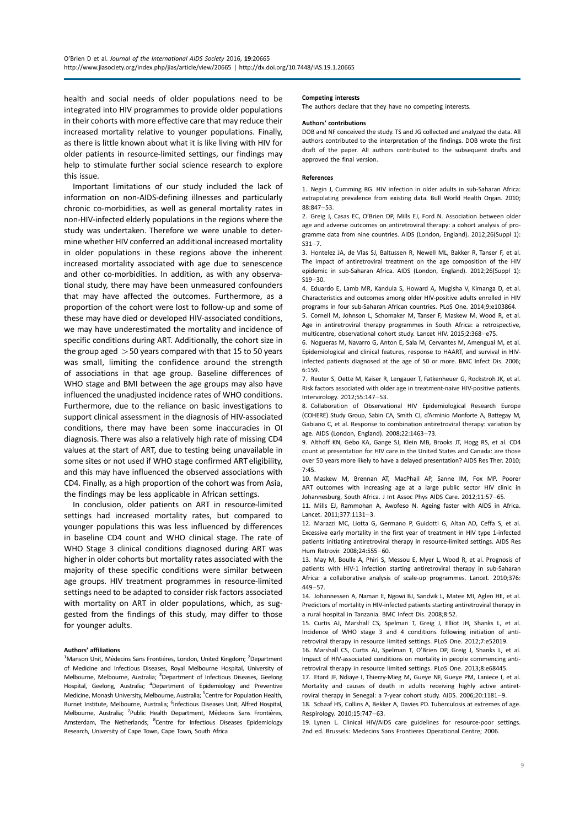health and social needs of older populations need to be integrated into HIV programmes to provide older populations [in](http://www.jiasociety.org/index.php/jias/article/view/20665) [their](http://www.jiasociety.org/index.php/jias/article/view/20665) [cohorts](http://www.jiasociety.org/index.php/jias/article/view/20665) [with](http://www.jiasociety.org/index.php/jias/article/view/20665) [more](http://www.jiasociety.org/index.php/jias/article/view/20665) [effective](http://www.jiasociety.org/index.php/jias/article/view/20665) [care](http://www.jiasociety.org/index.php/jias/article/view/20665) [that](http://www.jiasociety.org/index.php/jias/article/view/20665) [ma](http://www.jiasociety.org/index.php/jias/article/view/20665)y [reduce](http://dx.doi.org/10.7448/IAS.19.1.20665) [their](http://dx.doi.org/10.7448/IAS.19.1.20665) increased mortality relative to younger populations. Finally, as there is little known about what it is like living with HIV for older patients in resource-limited settings, our findings may help to stimulate further social science research to explore this issue.

Important limitations of our study included the lack of information on non-AIDS-defining illnesses and particularly chronic co-morbidities, as well as general mortality rates in non-HIV-infected elderly populations in the regions where the study was undertaken. Therefore we were unable to determine whether HIV conferred an additional increased mortality in older populations in these regions above the inherent increased mortality associated with age due to senescence and other co-morbidities. In addition, as with any observational study, there may have been unmeasured confounders that may have affected the outcomes. Furthermore, as a proportion of the cohort were lost to follow-up and some of these may have died or developed HIV-associated conditions, we may have underestimated the mortality and incidence of specific conditions during ART. Additionally, the cohort size in the group aged  $>$  50 years compared with that 15 to 50 years was small, limiting the confidence around the strength of associations in that age group. Baseline differences of WHO stage and BMI between the age groups may also have influenced the unadjusted incidence rates of WHO conditions. Furthermore, due to the reliance on basic investigations to support clinical assessment in the diagnosis of HIV-associated conditions, there may have been some inaccuracies in OI diagnosis. There was also a relatively high rate of missing CD4 values at the start of ART, due to testing being unavailable in some sites or not used if WHO stage confirmed ART eligibility, and this may have influenced the observed associations with CD4. Finally, as a high proportion of the cohort was from Asia, the findings may be less applicable in African settings.

In conclusion, older patients on ART in resource-limited settings had increased mortality rates, but compared to younger populations this was less influenced by differences in baseline CD4 count and WHO clinical stage. The rate of WHO Stage 3 clinical conditions diagnosed during ART was higher in older cohorts but mortality rates associated with the majority of these specific conditions were similar between age groups. HIV treatment programmes in resource-limited settings need to be adapted to consider risk factors associated with mortality on ART in older populations, which, as suggested from the findings of this study, may differ to those for younger adults.

#### Authors' affiliations

<sup>1</sup>Manson Unit, Médecins Sans Frontières, London, United Kingdom; <sup>2</sup>Department of Medicine and Infectious Diseases, Royal Melbourne Hospital, University of Melbourne, Melbourne, Australia; <sup>3</sup>Department of Infectious Diseases, Geelong Hospital, Geelong, Australia; <sup>4</sup>Department of Epidemiology and Preventive Medicine, Monash University, Melbourne, Australia; <sup>5</sup>Centre for Population Health, Burnet Institute, Melbourne, Australia; <sup>6</sup>Infectious Diseases Unit, Alfred Hospital, Melbourne, Australia; <sup>7</sup>Public Health Department, Médecins Sans Frontières, Amsterdam, The Netherlands; <sup>8</sup>Centre for Infectious Diseases Epidemiology Research, University of Cape Town, Cape Town, South Africa

#### Competing interests

The authors declare that they have no competing interests.

#### Authors' contributions

DOB and NF conceived the study. TS and JG collected and analyzed the data. All authors contributed to the interpretation of the findings. DOB wrote the first draft of the paper. All authors contributed to the subsequent drafts and approved the final version.

#### References

1. Negin J, Cumming RG. HIV infection in older adults in sub-Saharan Africa: extrapolating prevalence from existing data. Bull World Health Organ. 2010; 88:847-53.

2. Greig J, Casas EC, O'Brien DP, Mills EJ, Ford N. Association between older age and adverse outcomes on antiretroviral therapy: a cohort analysis of programme data from nine countries. AIDS (London, England). 2012;26(Suppl 1):  $S31 - 7.$ 

3. Hontelez JA, de Vlas SJ, Baltussen R, Newell ML, Bakker R, Tanser F, et al. The impact of antiretroviral treatment on the age composition of the HIV epidemic in sub-Saharan Africa. AIDS (London, England). 2012;26(Suppl 1):  $S19 - 30.$ 

4. Eduardo E, Lamb MR, Kandula S, Howard A, Mugisha V, Kimanga D, et al. Characteristics and outcomes among older HIV-positive adults enrolled in HIV programs in four sub-Saharan African countries. PLoS One. 2014;9:e103864.

5. Cornell M, Johnson L, Schomaker M, Tanser F, Maskew M, Wood R, et al. Age in antiretroviral therapy programmes in South Africa: a retrospective, multicentre, observational cohort study. Lancet HIV. 2015;2:368-e75.

6. Nogueras M, Navarro G, Anton E, Sala M, Cervantes M, Amengual M, et al. Epidemiological and clinical features, response to HAART, and survival in HIVinfected patients diagnosed at the age of 50 or more. BMC Infect Dis. 2006; 6:159.

7. Reuter S, Oette M, Kaiser R, Lengauer T, Fatkenheuer G, Rockstroh JK, et al. Risk factors associated with older age in treatment-naive HIV-positive patients. Intervirology. 2012:55:147-53.

8. Collaboration of Observational HIV Epidemiological Research Europe (COHERE) Study Group, Sabin CA, Smith CJ, d'Arminio Monforte A, Battegay M, Gabiano C, et al. Response to combination antiretroviral therapy: variation by age. AIDS (London, England). 2008:22:1463-73.

9. Althoff KN, Gebo KA, Gange SJ, Klein MB, Brooks JT, Hogg RS, et al. CD4 count at presentation for HIV care in the United States and Canada: are those over 50 years more likely to have a delayed presentation? AIDS Res Ther. 2010; 7:45.

10. Maskew M, Brennan AT, MacPhail AP, Sanne IM, Fox MP. Poorer ART outcomes with increasing age at a large public sector HIV clinic in Johannesburg, South Africa. J Int Assoc Phys AIDS Care. 2012;11:57-65.

11. Mills EJ, Rammohan A, Awofeso N. Ageing faster with AIDS in Africa. Lancet. 2011;377:1131-3.

12. Marazzi MC, Liotta G, Germano P, Guidotti G, Altan AD, Ceffa S, et al. Excessive early mortality in the first year of treatment in HIV type 1-infected patients initiating antiretroviral therapy in resource-limited settings. AIDS Res Hum Retrovir. 2008:24:555-60.

13. May M, Boulle A, Phiri S, Messou E, Myer L, Wood R, et al. Prognosis of patients with HIV-1 infection starting antiretroviral therapy in sub-Saharan Africa: a collaborative analysis of scale-up programmes. Lancet. 2010;376:  $449 - 57$ .

14. Johannessen A, Naman E, Ngowi BJ, Sandvik L, Matee MI, Aglen HE, et al. Predictors of mortality in HIV-infected patients starting antiretroviral therapy in a rural hospital in Tanzania. BMC Infect Dis. 2008;8:52.

15. Curtis AJ, Marshall CS, Spelman T, Greig J, Elliot JH, Shanks L, et al. Incidence of WHO stage 3 and 4 conditions following initiation of antiretroviral therapy in resource limited settings. PLoS One. 2012;7:e52019.

16. Marshall CS, Curtis AJ, Spelman T, O'Brien DP, Greig J, Shanks L, et al. Impact of HIV-associated conditions on mortality in people commencing antiretroviral therapy in resource limited settings. PLoS One. 2013;8:e68445.

17. Etard JF, Ndiaye I, Thierry-Mieg M, Gueye NF, Gueye PM, Laniece I, et al. Mortality and causes of death in adults receiving highly active antiretroviral therapy in Senegal: a 7-year cohort study. AIDS. 2006;20:1181-9.

18. Schaaf HS, Collins A, Bekker A, Davies PD. Tuberculosis at extremes of age. Respirology. 2010:15:747-63.

19. Lynen L. Clinical HIV/AIDS care guidelines for resource-poor settings. 2nd ed. Brussels: Medecins Sans Frontieres Operational Centre; 2006.